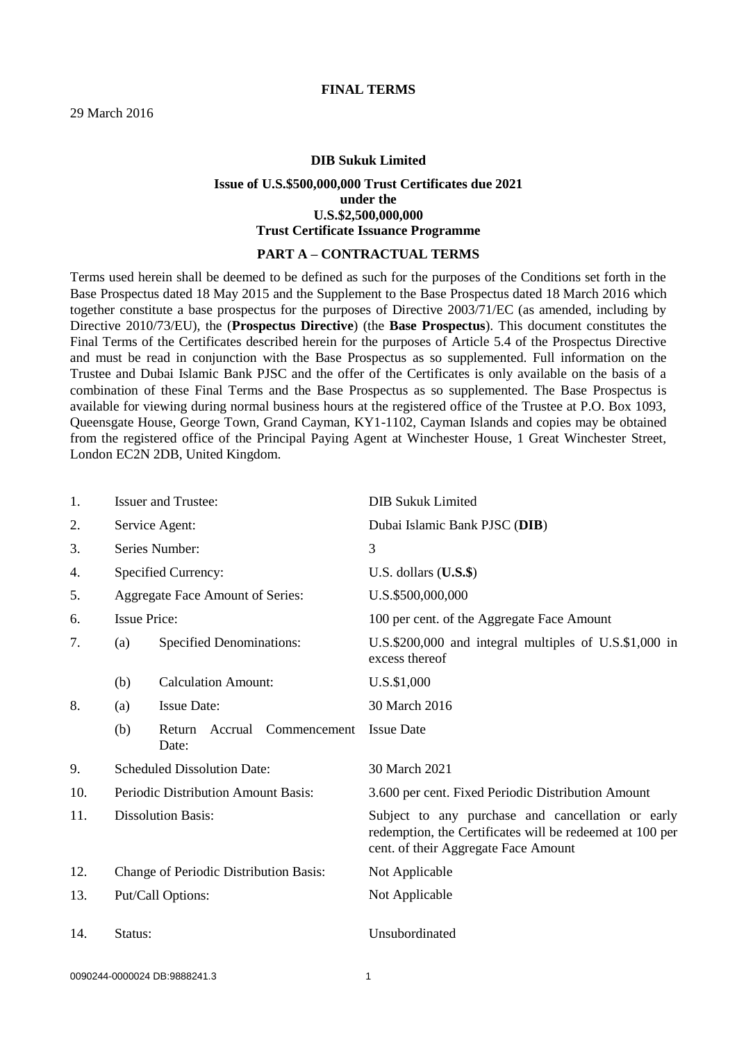## **FINAL TERMS**

### **DIB Sukuk Limited**

# **Issue of U.S.\$500,000,000 Trust Certificates due 2021 under the U.S.\$2,500,000,000 Trust Certificate Issuance Programme**

## **PART A – CONTRACTUAL TERMS**

Terms used herein shall be deemed to be defined as such for the purposes of the Conditions set forth in the Base Prospectus dated 18 May 2015 and the Supplement to the Base Prospectus dated 18 March 2016 which together constitute a base prospectus for the purposes of Directive 2003/71/EC (as amended, including by Directive 2010/73/EU), the (**Prospectus Directive**) (the **Base Prospectus**). This document constitutes the Final Terms of the Certificates described herein for the purposes of Article 5.4 of the Prospectus Directive and must be read in conjunction with the Base Prospectus as so supplemented. Full information on the Trustee and Dubai Islamic Bank PJSC and the offer of the Certificates is only available on the basis of a combination of these Final Terms and the Base Prospectus as so supplemented. The Base Prospectus is available for viewing during normal business hours at the registered office of the Trustee at P.O. Box 1093, Queensgate House, George Town, Grand Cayman, KY1-1102, Cayman Islands and copies may be obtained from the registered office of the Principal Paying Agent at Winchester House, 1 Great Winchester Street, London EC2N 2DB, United Kingdom.

| 1.  | <b>Issuer and Trustee:</b>             |                                            | <b>DIB Sukuk Limited</b>                                                                                                                              |
|-----|----------------------------------------|--------------------------------------------|-------------------------------------------------------------------------------------------------------------------------------------------------------|
| 2.  | Service Agent:                         |                                            | Dubai Islamic Bank PJSC (DIB)                                                                                                                         |
| 3.  | Series Number:                         |                                            | 3                                                                                                                                                     |
| 4.  |                                        | Specified Currency:                        | U.S. dollars $($ U.S. $$)$                                                                                                                            |
| 5.  |                                        | Aggregate Face Amount of Series:           | U.S.\$500,000,000                                                                                                                                     |
| 6.  | <b>Issue Price:</b>                    |                                            | 100 per cent. of the Aggregate Face Amount                                                                                                            |
| 7.  | (a)                                    | <b>Specified Denominations:</b>            | U.S.\$200,000 and integral multiples of U.S.\$1,000 in<br>excess thereof                                                                              |
|     | (b)                                    | <b>Calculation Amount:</b>                 | U.S.\$1,000                                                                                                                                           |
| 8.  | (a)                                    | <b>Issue Date:</b>                         | 30 March 2016                                                                                                                                         |
|     | (b)                                    | Accrual<br>Return<br>Commencement<br>Date: | <b>Issue Date</b>                                                                                                                                     |
| 9.  |                                        | <b>Scheduled Dissolution Date:</b>         | 30 March 2021                                                                                                                                         |
| 10. | Periodic Distribution Amount Basis:    |                                            | 3.600 per cent. Fixed Periodic Distribution Amount                                                                                                    |
| 11. | <b>Dissolution Basis:</b>              |                                            | Subject to any purchase and cancellation or early<br>redemption, the Certificates will be redeemed at 100 per<br>cent. of their Aggregate Face Amount |
| 12. | Change of Periodic Distribution Basis: |                                            | Not Applicable                                                                                                                                        |
| 13. | Put/Call Options:                      |                                            | Not Applicable                                                                                                                                        |
| 14. | Status:                                |                                            | Unsubordinated                                                                                                                                        |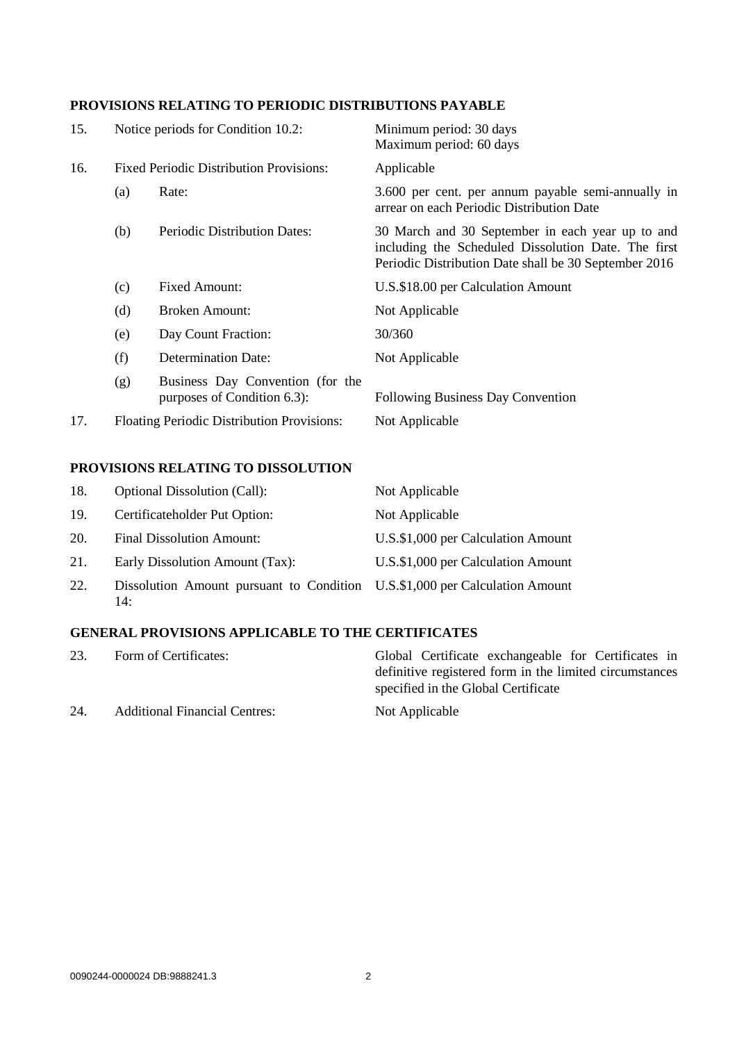# **PROVISIONS RELATING TO PERIODIC DISTRIBUTIONS PAYABLE**

| 15. | Notice periods for Condition 10.2:             |                                                                 | Minimum period: 30 days<br>Maximum period: 60 days                                                                                                               |
|-----|------------------------------------------------|-----------------------------------------------------------------|------------------------------------------------------------------------------------------------------------------------------------------------------------------|
| 16. | <b>Fixed Periodic Distribution Provisions:</b> |                                                                 | Applicable                                                                                                                                                       |
|     | (a)                                            | Rate:                                                           | 3.600 per cent. per annum payable semi-annually in<br>arrear on each Periodic Distribution Date                                                                  |
|     | (b)                                            | Periodic Distribution Dates:                                    | 30 March and 30 September in each year up to and<br>including the Scheduled Dissolution Date. The first<br>Periodic Distribution Date shall be 30 September 2016 |
|     | (c)                                            | <b>Fixed Amount:</b>                                            | U.S.\$18.00 per Calculation Amount                                                                                                                               |
|     | (d)                                            | <b>Broken Amount:</b>                                           | Not Applicable                                                                                                                                                   |
|     | (e)                                            | Day Count Fraction:                                             | 30/360                                                                                                                                                           |
|     | (f)                                            | <b>Determination Date:</b>                                      | Not Applicable                                                                                                                                                   |
|     | (g)                                            | Business Day Convention (for the<br>purposes of Condition 6.3): | Following Business Day Convention                                                                                                                                |
| 17. | Floating Periodic Distribution Provisions:     |                                                                 | Not Applicable                                                                                                                                                   |

# **PROVISIONS RELATING TO DISSOLUTION**

| 18. | <b>Optional Dissolution (Call):</b>                                                | Not Applicable                     |
|-----|------------------------------------------------------------------------------------|------------------------------------|
| 19. | Certificateholder Put Option:                                                      | Not Applicable                     |
| 20. | <b>Final Dissolution Amount:</b>                                                   | U.S.\$1,000 per Calculation Amount |
| 21. | Early Dissolution Amount (Tax):                                                    | U.S.\$1,000 per Calculation Amount |
| 22. | Dissolution Amount pursuant to Condition U.S.\$1,000 per Calculation Amount<br>14: |                                    |

# **GENERAL PROVISIONS APPLICABLE TO THE CERTIFICATES**

| 23. | Form of Certificates:                | Global Certificate exchangeable for Certificates in                                            |
|-----|--------------------------------------|------------------------------------------------------------------------------------------------|
|     |                                      | definitive registered form in the limited circumstances<br>specified in the Global Certificate |
| 24. | <b>Additional Financial Centres:</b> | Not Applicable                                                                                 |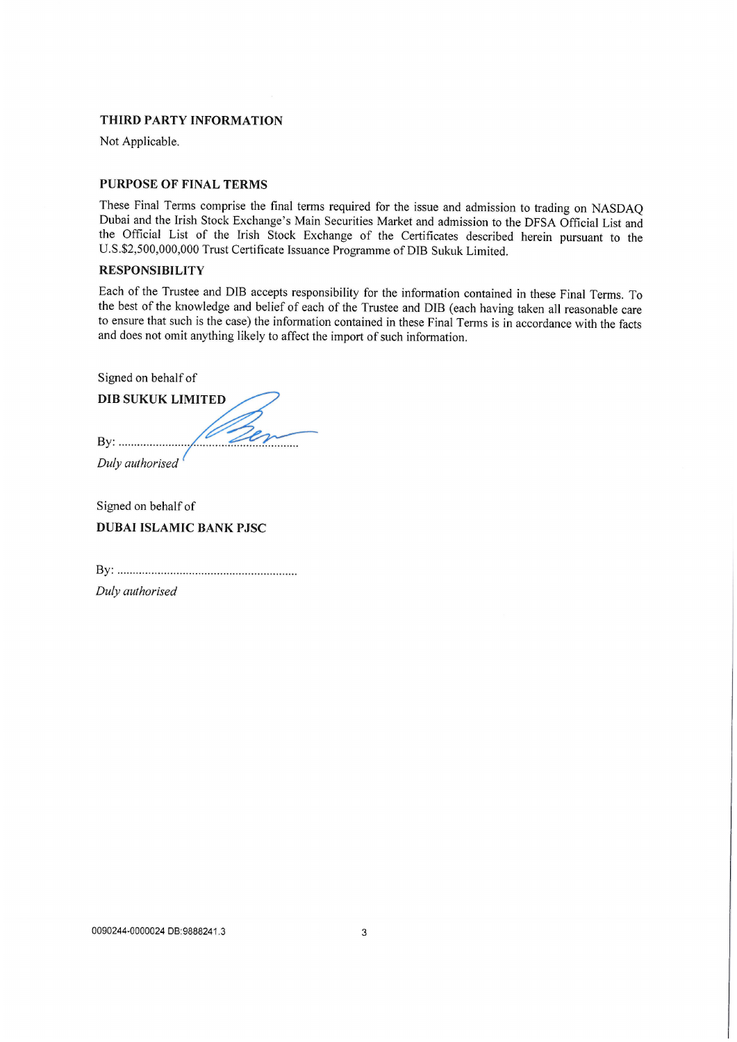## THIRD PARTY INFORMATION

Not Applicable.

## **PURPOSE OF FINAL TERMS**

These Final Terms comprise the final terms required for the issue and admission to trading on NASDAQ Dubai and the Irish Stock Exchange's Main Securities Market and admission to the DFSA Official List and the Official List of the Irish Stock Exchange of the Certificates described herein pursuant to the U.S.\$2,500,000,000 Trust Certificate Issuance Programme of DIB Sukuk Limited.

# **RESPONSIBILITY**

Each of the Trustee and DIB accepts responsibility for the information contained in these Final Terms. To the best of the knowledge and belief of each of the Trustee and DIB (each having taken all reasonable care to ensure that such is the case) the information contained in these Final Terms is in accordance with the facts and does not omit anything likely to affect the import of such information.

Signed on behalf of

**DIB SUKUK LIMITED**  $1 - 20$  $\overline{\phantom{a}}$ Duly authorised

Signed on behalf of **DUBAI ISLAMIC BANK PJSC** 

Duly authorised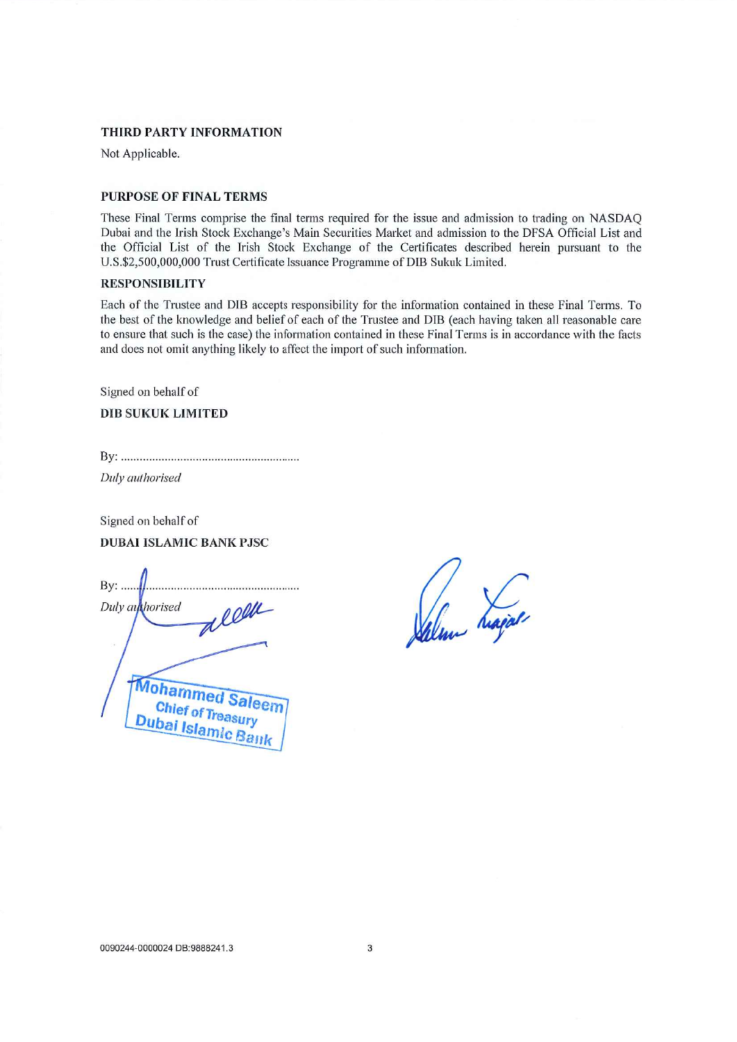#### THIRD PARTY INFORMATION

Not Applicable.

## **PURPOSE OF FINAL TERMS**

These Final Terms comprise the final terms required for the issue and admission to trading on NASDAQ Dubai and the Irish Stock Exchange's Main Securities Market and admission to the DFSA Official List and the Official List of the Irish Stock Exchange of the Certificates described herein pursuant to the U.S.\$2,500,000,000 Trust Certificate Issuance Programme of DIB Sukuk Limited.

## **RESPONSIBILITY**

Each of the Trustee and DIB accepts responsibility for the information contained in these Final Terms. To the best of the knowledge and belief of each of the Trustee and DIB (each having taken all reasonable care to ensure that such is the case) the information contained in these Final Terms is in accordance with the facts and does not omit anything likely to affect the import of such information.

Signed on behalf of

**DIB SUKUK LIMITED** 

Duly authorised

Signed on behalf of **DUBAI ISLAMIC BANK PJSC** 

 $By: \ldots$ alle Duly authorised **Mohamme Chief of Trea** Dubai Islamic Ba

Jalm hajar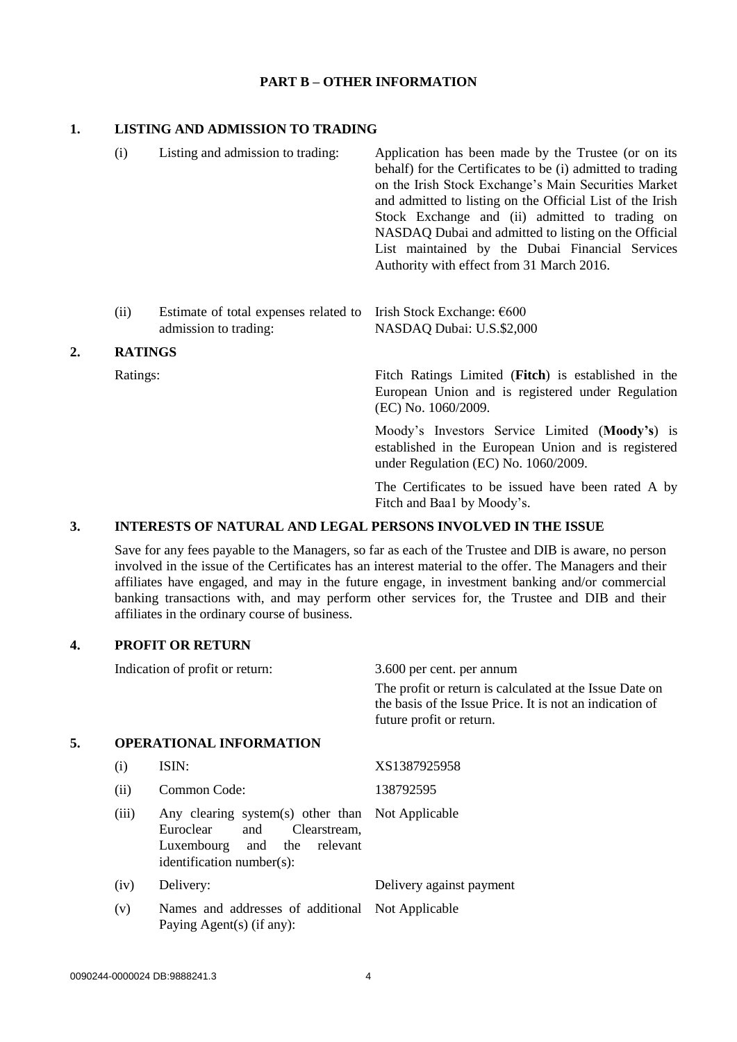## **PART B – OTHER INFORMATION**

# **1. LISTING AND ADMISSION TO TRADING**

| (i) | Listing and admission to trading: | Application has been made by the Trustee (or on its<br>behalf) for the Certificates to be (i) admitted to trading<br>on the Irish Stock Exchange's Main Securities Market<br>and admitted to listing on the Official List of the Irish<br>Stock Exchange and (ii) admitted to trading on<br>NASDAQ Dubai and admitted to listing on the Official<br>List maintained by the Dubai Financial Services<br>Authority with effect from 31 March 2016. |
|-----|-----------------------------------|--------------------------------------------------------------------------------------------------------------------------------------------------------------------------------------------------------------------------------------------------------------------------------------------------------------------------------------------------------------------------------------------------------------------------------------------------|
|     |                                   |                                                                                                                                                                                                                                                                                                                                                                                                                                                  |

#### (ii) Estimate of total expenses related to Irish Stock Exchange: €600 admission to trading: NASDAQ Dubai: U.S.\$2,000

## **2. RATINGS**

Ratings: Fitch Ratings Limited (**Fitch**) is established in the European Union and is registered under Regulation (EC) No. 1060/2009.

> Moody's Investors Service Limited (**Moody's**) is established in the European Union and is registered under Regulation (EC) No. 1060/2009.

> The Certificates to be issued have been rated A by Fitch and Baa1 by Moody's.

# **3. INTERESTS OF NATURAL AND LEGAL PERSONS INVOLVED IN THE ISSUE**

Save for any fees payable to the Managers, so far as each of the Trustee and DIB is aware, no person involved in the issue of the Certificates has an interest material to the offer. The Managers and their affiliates have engaged, and may in the future engage, in investment banking and/or commercial banking transactions with, and may perform other services for, the Trustee and DIB and their affiliates in the ordinary course of business.

# **4. PROFIT OR RETURN**

|    |       | Indication of profit or return:                                                                                                                        | 3.600 per cent. per annum                                                                                                                       |  |
|----|-------|--------------------------------------------------------------------------------------------------------------------------------------------------------|-------------------------------------------------------------------------------------------------------------------------------------------------|--|
|    |       |                                                                                                                                                        | The profit or return is calculated at the Issue Date on<br>the basis of the Issue Price. It is not an indication of<br>future profit or return. |  |
| 5. |       | <b>OPERATIONAL INFORMATION</b>                                                                                                                         |                                                                                                                                                 |  |
|    | (i)   | ISIN:                                                                                                                                                  | XS1387925958                                                                                                                                    |  |
|    | (ii)  | Common Code:                                                                                                                                           | 138792595                                                                                                                                       |  |
|    | (iii) | Any clearing system(s) other than Not Applicable<br>Euroclear<br>Clearstream,<br>and<br>the<br>Luxembourg and<br>relevant<br>identification number(s): |                                                                                                                                                 |  |
|    | (iv)  | Delivery:                                                                                                                                              | Delivery against payment                                                                                                                        |  |
|    | (v)   | Names and addresses of additional Not Applicable<br>Paying Agent(s) (if any):                                                                          |                                                                                                                                                 |  |
|    |       |                                                                                                                                                        |                                                                                                                                                 |  |